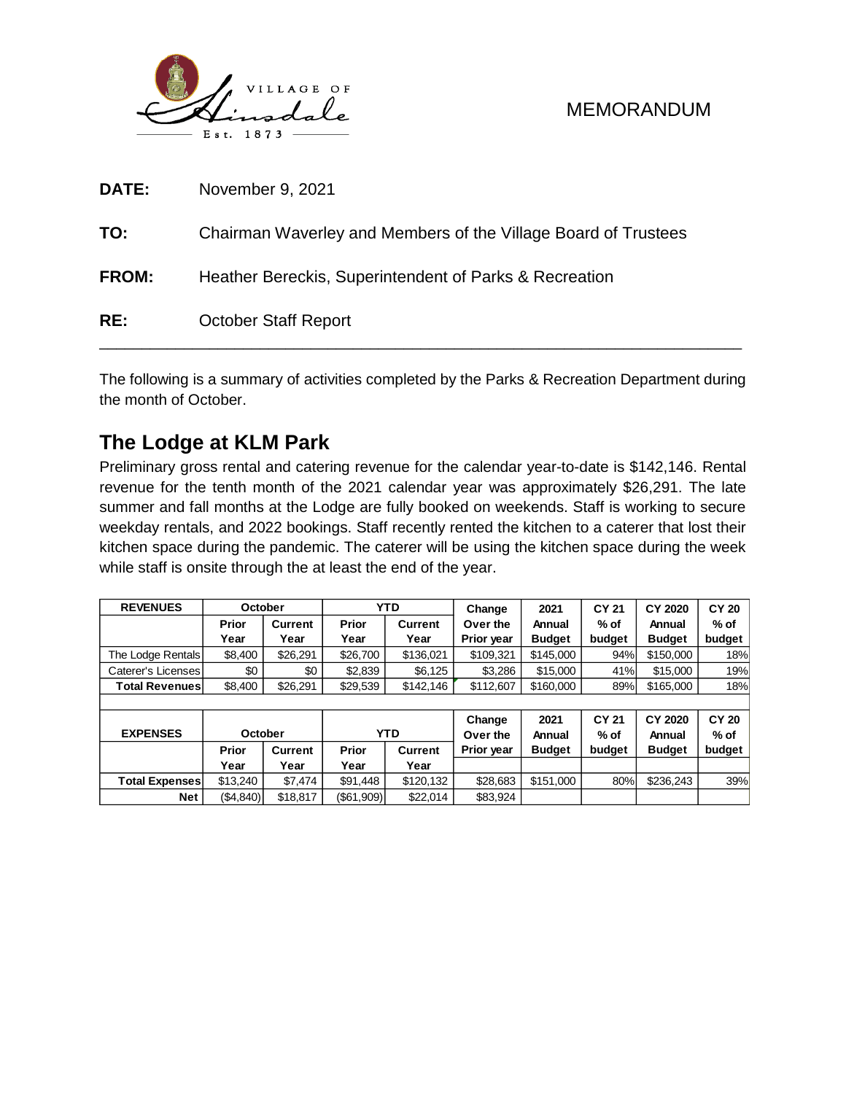

### MEMORANDUM

| DATE:        | November 9, 2021                                               |
|--------------|----------------------------------------------------------------|
| TO:          | Chairman Waverley and Members of the Village Board of Trustees |
| <b>FROM:</b> | Heather Bereckis, Superintendent of Parks & Recreation         |
| RE:          | <b>October Staff Report</b>                                    |

The following is a summary of activities completed by the Parks & Recreation Department during the month of October.

# **The Lodge at KLM Park**

Preliminary gross rental and catering revenue for the calendar year-to-date is \$142,146. Rental revenue for the tenth month of the 2021 calendar year was approximately \$26,291. The late summer and fall months at the Lodge are fully booked on weekends. Staff is working to secure weekday rentals, and 2022 bookings. Staff recently rented the kitchen to a caterer that lost their kitchen space during the pandemic. The caterer will be using the kitchen space during the week while staff is onsite through the at least the end of the year.

| <b>REVENUES</b>       | October |          | YTD      |                | Change            | 2021          | CY 21  | <b>CY 2020</b> | <b>CY 20</b> |  |
|-----------------------|---------|----------|----------|----------------|-------------------|---------------|--------|----------------|--------------|--|
|                       | Prior   | Current  | Prior    | <b>Current</b> | Over the          | Annual        | $%$ of | Annual         | $%$ of       |  |
|                       | Year    | Year     | Year     | Year           | <b>Prior vear</b> | <b>Budget</b> | budget | <b>Budget</b>  | budget       |  |
| The Lodge Rentals     | \$8.400 | \$26.291 | \$26,700 | \$136.021      | \$109.321         | \$145,000     | 94%    | \$150,000      | 18%          |  |
| Caterer's Licenses    | \$0     | \$0      | \$2.839  | \$6.125        | \$3.286           | \$15,000      | 41%    | \$15,000       | 19%          |  |
| <b>Total Revenues</b> | \$8,400 | \$26.291 | \$29,539 | \$142,146      | \$112,607         | \$160,000     | 89%    | \$165,000      | 18%          |  |
|                       |         |          |          |                |                   |               |        |                |              |  |

| <b>EXPENSES</b>       | October   |          |            | YTD            | Change<br>Over the | 2021<br>Annual | <b>CY 21</b><br>$%$ of | CY 2020<br>Annual | <b>CY 20</b><br>% of |  |
|-----------------------|-----------|----------|------------|----------------|--------------------|----------------|------------------------|-------------------|----------------------|--|
|                       | Prior     | Current  | Prior      | <b>Current</b> | <b>Prior year</b>  | <b>Budget</b>  | budget                 | <b>Budget</b>     | budget               |  |
|                       | Year      | Year     | Year       | Year           |                    |                |                        |                   |                      |  |
| <b>Total Expenses</b> | \$13,240  | \$7.474  | \$91,448   | \$120.132      | \$28,683           | \$151,000      | 80%                    | \$236,243         | 39%                  |  |
| <b>Net</b>            | (\$4,840) | \$18,817 | (\$61,909) | \$22.014       | \$83,924           |                |                        |                   |                      |  |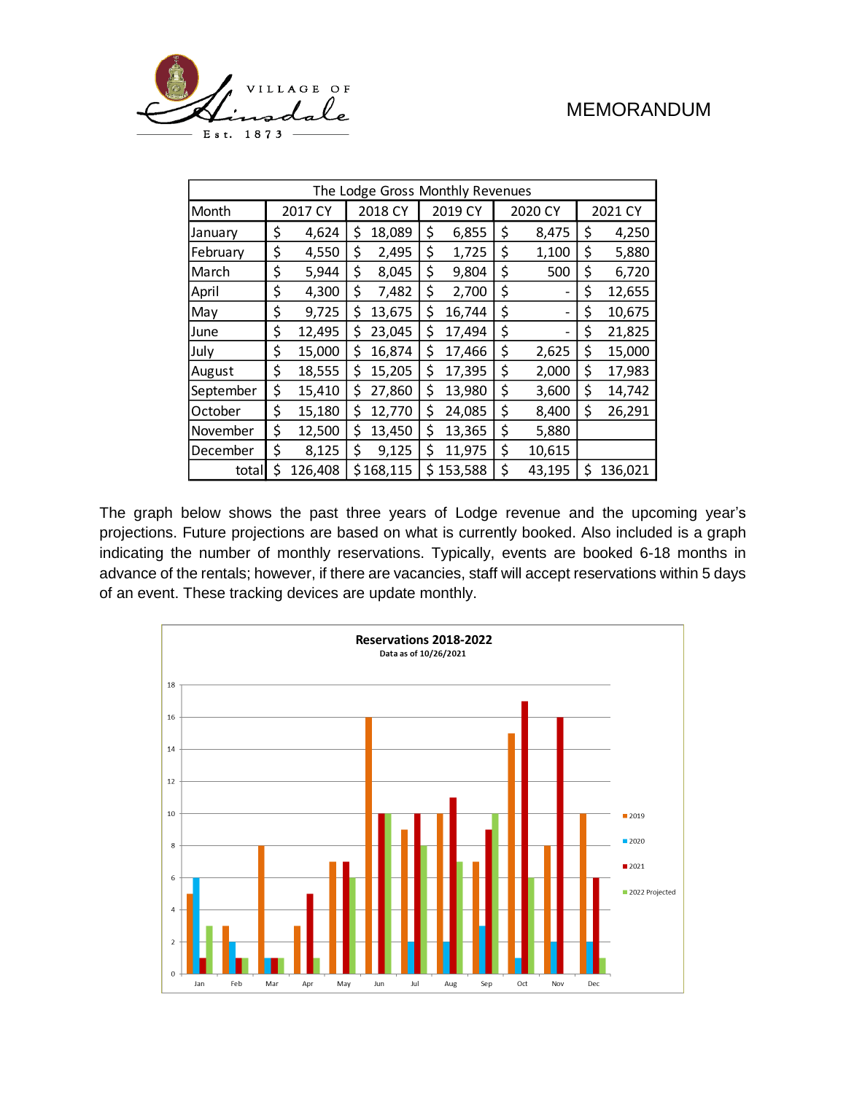



| The Lodge Gross Monthly Revenues |         |         |         |           |         |         |         |                |         |         |
|----------------------------------|---------|---------|---------|-----------|---------|---------|---------|----------------|---------|---------|
| Month                            | 2017 CY |         | 2018 CY |           | 2019 CY |         | 2020 CY |                | 2021 CY |         |
| January                          | \$      | 4,624   | \$      | 18,089    | \$      | 6,855   | \$      | 8,475          | \$      | 4,250   |
| February                         | \$      | 4,550   | \$      | 2,495     | \$      | 1,725   | \$      | 1,100          | \$      | 5,880   |
| March                            | \$      | 5,944   | \$      | 8,045     | \$      | 9,804   | \$      | 500            | \$      | 6,720   |
| April                            | \$      | 4,300   | \$      | 7,482     | \$      | 2,700   | \$      | ۰              | \$      | 12,655  |
| May                              | \$      | 9,725   | \$      | 13,675    | \$      | 16,744  | \$      | $\overline{a}$ | \$      | 10,675  |
| June                             | \$      | 12,495  | \$      | 23,045    | \$      | 17,494  | \$      | ۰              | \$      | 21,825  |
| July                             | \$      | 15,000  | \$      | 16,874    | \$      | 17,466  | \$      | 2,625          | \$      | 15,000  |
| August                           | \$      | 18,555  | \$      | 15,205    | \$      | 17,395  | \$      | 2,000          | \$      | 17,983  |
| September                        | \$      | 15,410  | \$      | 27,860    | \$      | 13,980  | \$      | 3,600          | \$      | 14,742  |
| October                          | \$      | 15,180  | \$      | 12,770    | \$      | 24,085  | \$      | 8,400          | \$      | 26,291  |
| November                         | \$      | 12,500  | \$      | 13,450    | \$      | 13,365  | \$      | 5,880          |         |         |
| December                         | \$      | 8,125   | \$      | 9,125     | \$      | 11,975  | \$      | 10,615         |         |         |
| totall                           | \$      | 126,408 |         | \$168,115 | Ś       | 153,588 | \$      | 43,195         | \$      | 136,021 |

The graph below shows the past three years of Lodge revenue and the upcoming year's projections. Future projections are based on what is currently booked. Also included is a graph indicating the number of monthly reservations. Typically, events are booked 6-18 months in advance of the rentals; however, if there are vacancies, staff will accept reservations within 5 days of an event. These tracking devices are update monthly.

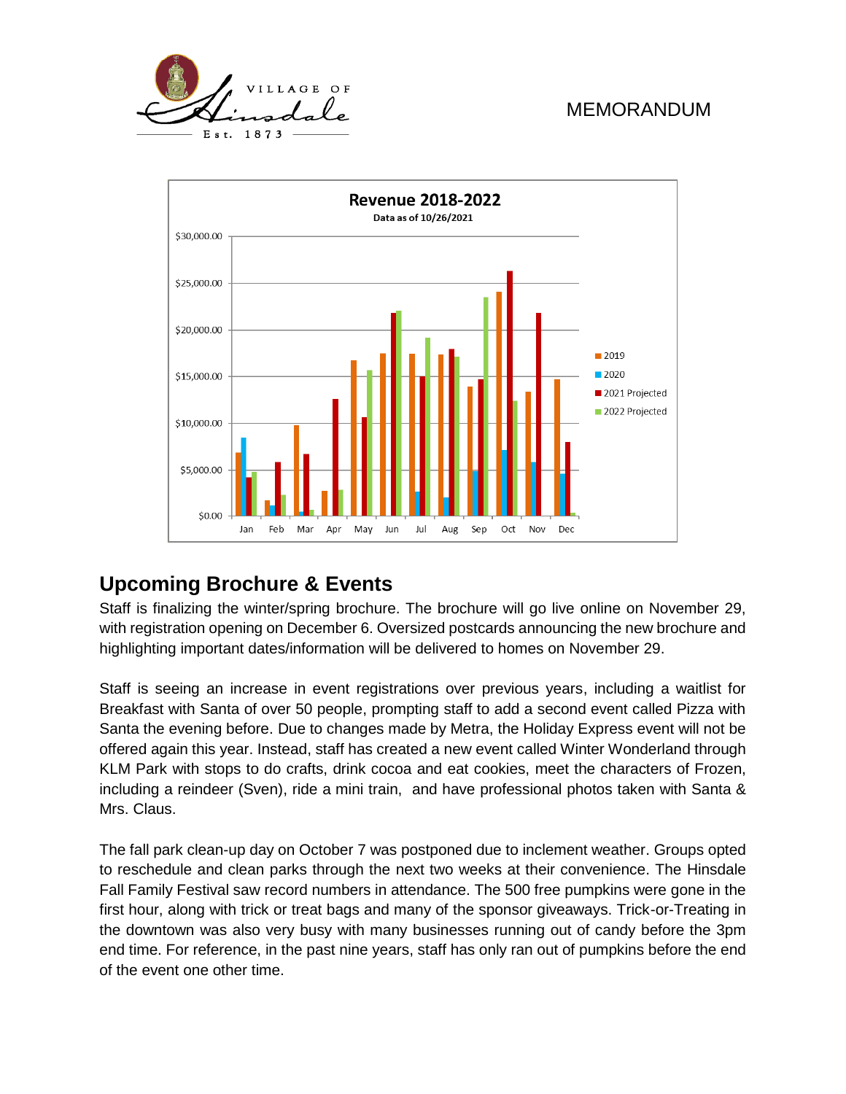## MEMORANDUM





# **Upcoming Brochure & Events**

Staff is finalizing the winter/spring brochure. The brochure will go live online on November 29, with registration opening on December 6. Oversized postcards announcing the new brochure and highlighting important dates/information will be delivered to homes on November 29.

Staff is seeing an increase in event registrations over previous years, including a waitlist for Breakfast with Santa of over 50 people, prompting staff to add a second event called Pizza with Santa the evening before. Due to changes made by Metra, the Holiday Express event will not be offered again this year. Instead, staff has created a new event called Winter Wonderland through KLM Park with stops to do crafts, drink cocoa and eat cookies, meet the characters of Frozen, including a reindeer (Sven), ride a mini train, and have professional photos taken with Santa & Mrs. Claus.

The fall park clean-up day on October 7 was postponed due to inclement weather. Groups opted to reschedule and clean parks through the next two weeks at their convenience. The Hinsdale Fall Family Festival saw record numbers in attendance. The 500 free pumpkins were gone in the first hour, along with trick or treat bags and many of the sponsor giveaways. Trick-or-Treating in the downtown was also very busy with many businesses running out of candy before the 3pm end time. For reference, in the past nine years, staff has only ran out of pumpkins before the end of the event one other time.